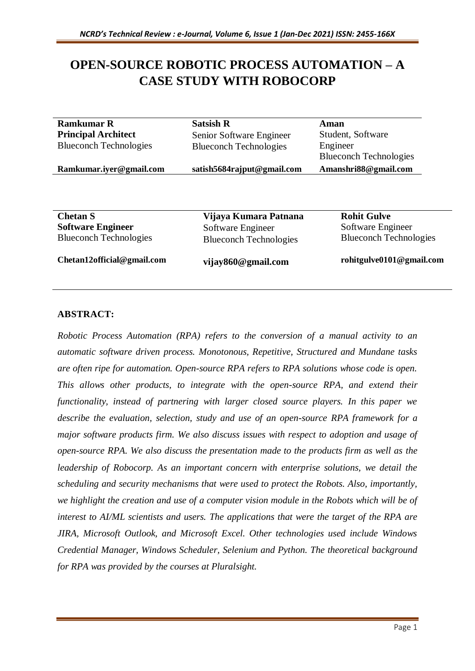# **OPEN-SOURCE ROBOTIC PROCESS AUTOMATION – A CASE STUDY WITH ROBOCORP**

| <b>Ramkumar R</b>             | <b>Satsish R</b>              | Aman                          |
|-------------------------------|-------------------------------|-------------------------------|
| <b>Principal Architect</b>    | Senior Software Engineer      | Student, Software             |
| <b>Blueconch Technologies</b> | <b>Blueconch Technologies</b> | Engineer                      |
|                               |                               | <b>Blueconch Technologies</b> |
| Ramkumar.iyer@gmail.com       | satish5684rajput@gmail.com    | Amanshri88@gmail.com          |
|                               |                               |                               |
| <b>Chetan S</b>               | Vijaya Kumara Patnana         | <b>Rohit Gulve</b>            |
| <b>Software Engineer</b>      | Software Engineer             | Software Engineer             |
| <b>Blueconch Technologies</b> |                               |                               |

**Chetan12official@gmail.com**

**vijay860@gmail.com**

**rohitgulve0101@gmail.com**

# **ABSTRACT:**

*Robotic Process Automation (RPA) refers to the conversion of a manual activity to an automatic software driven process. Monotonous, Repetitive, Structured and Mundane tasks are often ripe for automation. Open-source RPA refers to RPA solutions whose code is open. This allows other products, to integrate with the open-source RPA, and extend their functionality, instead of partnering with larger closed source players. In this paper we describe the evaluation, selection, study and use of an open-source RPA framework for a major software products firm. We also discuss issues with respect to adoption and usage of open-source RPA. We also discuss the presentation made to the products firm as well as the leadership of Robocorp. As an important concern with enterprise solutions, we detail the scheduling and security mechanisms that were used to protect the Robots. Also, importantly, we highlight the creation and use of a computer vision module in the Robots which will be of interest to AI/ML scientists and users. The applications that were the target of the RPA are JIRA, Microsoft Outlook, and Microsoft Excel. Other technologies used include Windows Credential Manager, Windows Scheduler, Selenium and Python. The theoretical background for RPA was provided by the courses at Pluralsight.*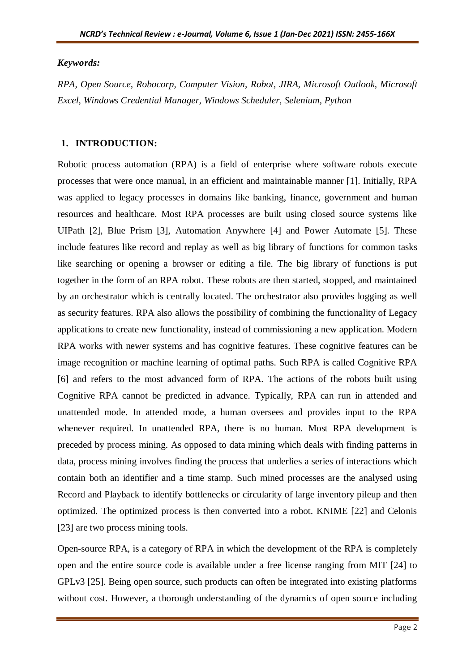#### *Keywords:*

*RPA, Open Source, Robocorp, Computer Vision, Robot, JIRA, Microsoft Outlook, Microsoft Excel, Windows Credential Manager, Windows Scheduler, Selenium, Python*

#### **1. INTRODUCTION:**

Robotic process automation (RPA) is a field of enterprise where software robots execute processes that were once manual, in an efficient and maintainable manner [1]. Initially, RPA was applied to legacy processes in domains like banking, finance, government and human resources and healthcare. Most RPA processes are built using closed source systems like UIPath [2], Blue Prism [3], Automation Anywhere [4] and Power Automate [5]. These include features like record and replay as well as big library of functions for common tasks like searching or opening a browser or editing a file. The big library of functions is put together in the form of an RPA robot. These robots are then started, stopped, and maintained by an orchestrator which is centrally located. The orchestrator also provides logging as well as security features. RPA also allows the possibility of combining the functionality of Legacy applications to create new functionality, instead of commissioning a new application. Modern RPA works with newer systems and has cognitive features. These cognitive features can be image recognition or machine learning of optimal paths. Such RPA is called Cognitive RPA [6] and refers to the most advanced form of RPA. The actions of the robots built using Cognitive RPA cannot be predicted in advance. Typically, RPA can run in attended and unattended mode. In attended mode, a human oversees and provides input to the RPA whenever required. In unattended RPA, there is no human. Most RPA development is preceded by process mining. As opposed to data mining which deals with finding patterns in data, process mining involves finding the process that underlies a series of interactions which contain both an identifier and a time stamp. Such mined processes are the analysed using Record and Playback to identify bottlenecks or circularity of large inventory pileup and then optimized. The optimized process is then converted into a robot. KNIME [22] and Celonis [23] are two process mining tools.

Open-source RPA, is a category of RPA in which the development of the RPA is completely open and the entire source code is available under a free license ranging from MIT [24] to GPLv3 [25]. Being open source, such products can often be integrated into existing platforms without cost. However, a thorough understanding of the dynamics of open source including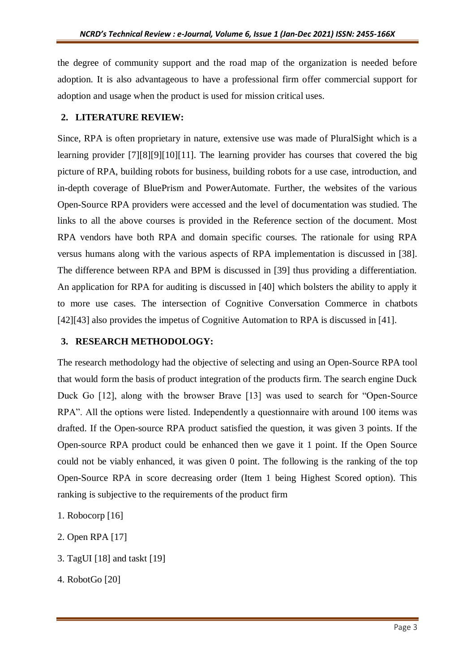the degree of community support and the road map of the organization is needed before adoption. It is also advantageous to have a professional firm offer commercial support for adoption and usage when the product is used for mission critical uses.

### **2. LITERATURE REVIEW:**

Since, RPA is often proprietary in nature, extensive use was made of PluralSight which is a learning provider [7][8][9][10][11]. The learning provider has courses that covered the big picture of RPA, building robots for business, building robots for a use case, introduction, and in-depth coverage of BluePrism and PowerAutomate. Further, the websites of the various Open-Source RPA providers were accessed and the level of documentation was studied. The links to all the above courses is provided in the Reference section of the document. Most RPA vendors have both RPA and domain specific courses. The rationale for using RPA versus humans along with the various aspects of RPA implementation is discussed in [38]. The difference between RPA and BPM is discussed in [39] thus providing a differentiation. An application for RPA for auditing is discussed in [40] which bolsters the ability to apply it to more use cases. The intersection of Cognitive Conversation Commerce in chatbots [42][43] also provides the impetus of Cognitive Automation to RPA is discussed in [41].

#### **3. RESEARCH METHODOLOGY:**

The research methodology had the objective of selecting and using an Open-Source RPA tool that would form the basis of product integration of the products firm. The search engine Duck Duck Go [12], along with the browser Brave [13] was used to search for "Open-Source RPA". All the options were listed. Independently a questionnaire with around 100 items was drafted. If the Open-source RPA product satisfied the question, it was given 3 points. If the Open-source RPA product could be enhanced then we gave it 1 point. If the Open Source could not be viably enhanced, it was given 0 point. The following is the ranking of the top Open-Source RPA in score decreasing order (Item 1 being Highest Scored option). This ranking is subjective to the requirements of the product firm

- 1. Robocorp [16]
- 2. Open RPA [17]
- 3. TagUI [18] and taskt [19]
- 4. RobotGo [20]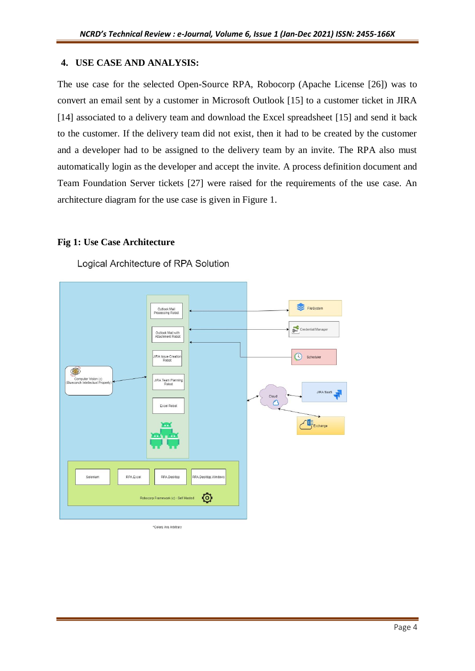# **4. USE CASE AND ANALYSIS:**

The use case for the selected Open-Source RPA, Robocorp (Apache License [26]) was to convert an email sent by a customer in Microsoft Outlook [15] to a customer ticket in JIRA [14] associated to a delivery team and download the Excel spreadsheet [15] and send it back to the customer. If the delivery team did not exist, then it had to be created by the customer and a developer had to be assigned to the delivery team by an invite. The RPA also must automatically login as the developer and accept the invite. A process definition document and Team Foundation Server tickets [27] were raised for the requirements of the use case. An architecture diagram for the use case is given in Figure 1.

#### **Fig 1: Use Case Architecture**

Logical Architecture of RPA Solution



\*Colors Are Arbitrary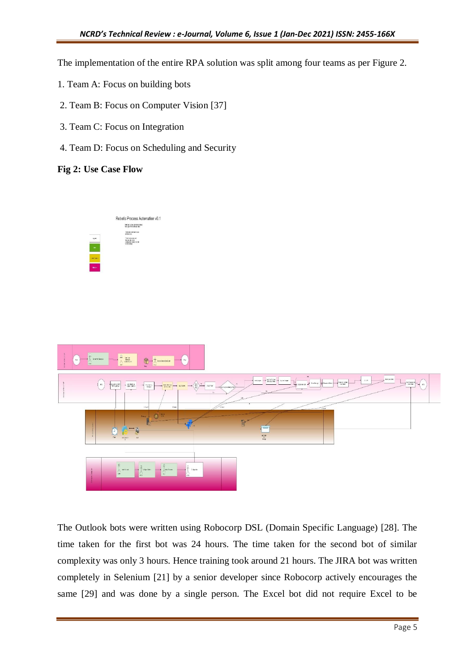The implementation of the entire RPA solution was split among four teams as per Figure 2.

- 1. Team A: Focus on building bots
- 2. Team B: Focus on Computer Vision [37]
- 3. Team C: Focus on Integration
- 4. Team D: Focus on Scheduling and Security

#### **Fig 2: Use Case Flow**





The Outlook bots were written using Robocorp DSL (Domain Specific Language) [28]. The time taken for the first bot was 24 hours. The time taken for the second bot of similar complexity was only 3 hours. Hence training took around 21 hours. The JIRA bot was written completely in Selenium [21] by a senior developer since Robocorp actively encourages the same [29] and was done by a single person. The Excel bot did not require Excel to be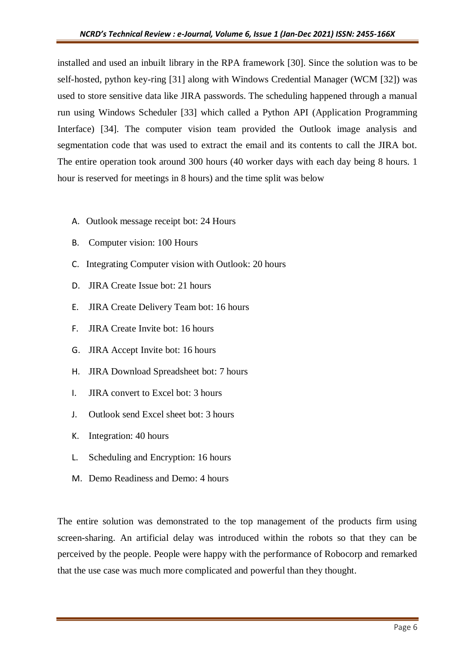installed and used an inbuilt library in the RPA framework [30]. Since the solution was to be self-hosted, python key-ring [31] along with Windows Credential Manager (WCM [32]) was used to store sensitive data like JIRA passwords. The scheduling happened through a manual run using Windows Scheduler [33] which called a Python API (Application Programming Interface) [34]. The computer vision team provided the Outlook image analysis and segmentation code that was used to extract the email and its contents to call the JIRA bot. The entire operation took around 300 hours (40 worker days with each day being 8 hours. 1 hour is reserved for meetings in 8 hours) and the time split was below

- A. Outlook message receipt bot: 24 Hours
- B. Computer vision: 100 Hours
- C. Integrating Computer vision with Outlook: 20 hours
- D. JIRA Create Issue bot: 21 hours
- E. JIRA Create Delivery Team bot: 16 hours
- F. JIRA Create Invite bot: 16 hours
- G. JIRA Accept Invite bot: 16 hours
- H. JIRA Download Spreadsheet bot: 7 hours
- I. JIRA convert to Excel bot: 3 hours
- J. Outlook send Excel sheet bot: 3 hours
- K. Integration: 40 hours
- L. Scheduling and Encryption: 16 hours
- M. Demo Readiness and Demo: 4 hours

The entire solution was demonstrated to the top management of the products firm using screen-sharing. An artificial delay was introduced within the robots so that they can be perceived by the people. People were happy with the performance of Robocorp and remarked that the use case was much more complicated and powerful than they thought.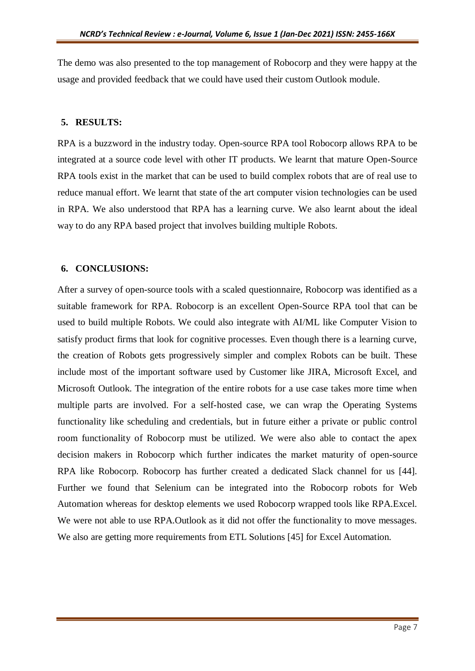The demo was also presented to the top management of Robocorp and they were happy at the usage and provided feedback that we could have used their custom Outlook module.

### **5. RESULTS:**

RPA is a buzzword in the industry today. Open-source RPA tool Robocorp allows RPA to be integrated at a source code level with other IT products. We learnt that mature Open-Source RPA tools exist in the market that can be used to build complex robots that are of real use to reduce manual effort. We learnt that state of the art computer vision technologies can be used in RPA. We also understood that RPA has a learning curve. We also learnt about the ideal way to do any RPA based project that involves building multiple Robots.

# **6. CONCLUSIONS:**

After a survey of open-source tools with a scaled questionnaire, Robocorp was identified as a suitable framework for RPA. Robocorp is an excellent Open-Source RPA tool that can be used to build multiple Robots. We could also integrate with AI/ML like Computer Vision to satisfy product firms that look for cognitive processes. Even though there is a learning curve, the creation of Robots gets progressively simpler and complex Robots can be built. These include most of the important software used by Customer like JIRA, Microsoft Excel, and Microsoft Outlook. The integration of the entire robots for a use case takes more time when multiple parts are involved. For a self-hosted case, we can wrap the Operating Systems functionality like scheduling and credentials, but in future either a private or public control room functionality of Robocorp must be utilized. We were also able to contact the apex decision makers in Robocorp which further indicates the market maturity of open-source RPA like Robocorp. Robocorp has further created a dedicated Slack channel for us [44]. Further we found that Selenium can be integrated into the Robocorp robots for Web Automation whereas for desktop elements we used Robocorp wrapped tools like RPA.Excel. We were not able to use RPA. Outlook as it did not offer the functionality to move messages. We also are getting more requirements from ETL Solutions [45] for Excel Automation.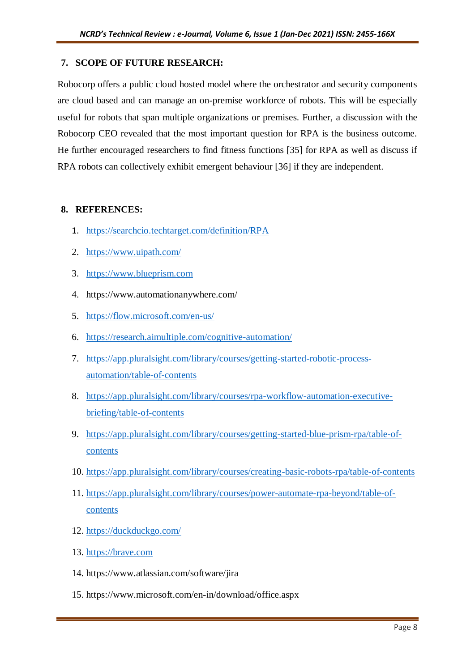### **7. SCOPE OF FUTURE RESEARCH:**

Robocorp offers a public cloud hosted model where the orchestrator and security components are cloud based and can manage an on-premise workforce of robots. This will be especially useful for robots that span multiple organizations or premises. Further, a discussion with the Robocorp CEO revealed that the most important question for RPA is the business outcome. He further encouraged researchers to find fitness functions [35] for RPA as well as discuss if RPA robots can collectively exhibit emergent behaviour [36] if they are independent.

#### **8. REFERENCES:**

- 1. <https://searchcio.techtarget.com/definition/RPA>
- 2. <https://www.uipath.com/>
- 3. [https://www.blueprism.com](https://www.blueprism.com/)
- 4. https://www.automationanywhere.com/
- 5. <https://flow.microsoft.com/en-us/>
- 6. <https://research.aimultiple.com/cognitive-automation/>
- 7. [https://app.pluralsight.com/library/courses/getting-started-robotic-process](https://app.pluralsight.com/library/courses/getting-started-robotic-process-automation/table-of-contents)[automation/table-of-contents](https://app.pluralsight.com/library/courses/getting-started-robotic-process-automation/table-of-contents)
- 8. [https://app.pluralsight.com/library/courses/rpa-workflow-automation-executive](https://app.pluralsight.com/library/courses/rpa-workflow-automation-executive-briefing/table-of-contents)[briefing/table-of-contents](https://app.pluralsight.com/library/courses/rpa-workflow-automation-executive-briefing/table-of-contents)
- 9. [https://app.pluralsight.com/library/courses/getting-started-blue-prism-rpa/table-of](https://app.pluralsight.com/library/courses/getting-started-blue-prism-rpa/table-of-contents)[contents](https://app.pluralsight.com/library/courses/getting-started-blue-prism-rpa/table-of-contents)
- 10. <https://app.pluralsight.com/library/courses/creating-basic-robots-rpa/table-of-contents>
- 11. [https://app.pluralsight.com/library/courses/power-automate-rpa-beyond/table-of](https://app.pluralsight.com/library/courses/power-automate-rpa-beyond/table-of-contents)[contents](https://app.pluralsight.com/library/courses/power-automate-rpa-beyond/table-of-contents)
- 12. <https://duckduckgo.com/>
- 13. [https://brave.com](https://brave.com/)
- 14. https://www.atlassian.com/software/jira
- 15. https://www.microsoft.com/en-in/download/office.aspx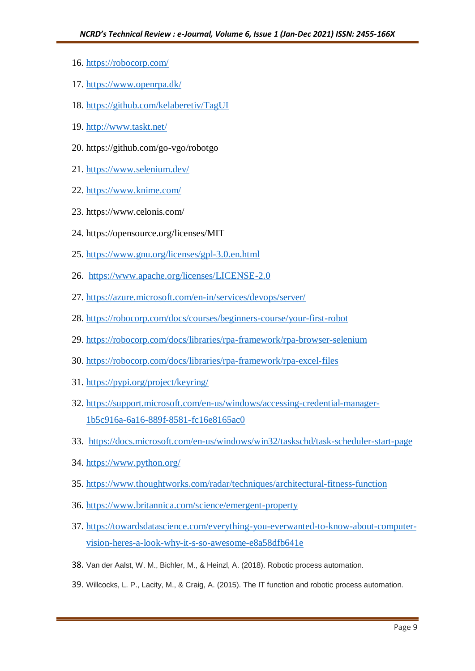- 16. <https://robocorp.com/>
- 17. <https://www.openrpa.dk/>
- 18. <https://github.com/kelaberetiv/TagUI>
- 19. <http://www.taskt.net/>
- 20. https://github.com/go-vgo/robotgo
- 21. <https://www.selenium.dev/>
- 22. <https://www.knime.com/>
- 23. https://www.celonis.com/
- 24. https://opensource.org/licenses/MIT
- 25. <https://www.gnu.org/licenses/gpl-3.0.en.html>
- 26. <https://www.apache.org/licenses/LICENSE-2.0>
- 27. <https://azure.microsoft.com/en-in/services/devops/server/>
- 28. <https://robocorp.com/docs/courses/beginners-course/your-first-robot>
- 29. <https://robocorp.com/docs/libraries/rpa-framework/rpa-browser-selenium>
- 30. <https://robocorp.com/docs/libraries/rpa-framework/rpa-excel-files>
- 31. <https://pypi.org/project/keyring/>
- 32. [https://support.microsoft.com/en-us/windows/accessing-credential-manager-](https://support.microsoft.com/en-us/windows/accessing-credential-manager-1b5c916a-6a16-889f-8581-fc16e8165ac0)[1b5c916a-6a16-889f-8581-fc16e8165ac0](https://support.microsoft.com/en-us/windows/accessing-credential-manager-1b5c916a-6a16-889f-8581-fc16e8165ac0)
- 33. <https://docs.microsoft.com/en-us/windows/win32/taskschd/task-scheduler-start-page>
- 34. <https://www.python.org/>
- 35. <https://www.thoughtworks.com/radar/techniques/architectural-fitness-function>
- 36. <https://www.britannica.com/science/emergent-property>
- 37. [https://towardsdatascience.com/everything-you-everwanted-to-know-about-computer](https://towardsdatascience.com/everything-you-everwanted-to-know-about-computer-vision-heres-a-look-why-it-s-so-awesome-e8a58dfb641e)[vision-heres-a-look-why-it-s-so-awesome-e8a58dfb641e](https://towardsdatascience.com/everything-you-everwanted-to-know-about-computer-vision-heres-a-look-why-it-s-so-awesome-e8a58dfb641e)
- 38. Van der Aalst, W. M., Bichler, M., & Heinzl, A. (2018). Robotic process automation.
- 39. Willcocks, L. P., Lacity, M., & Craig, A. (2015). The IT function and robotic process automation.